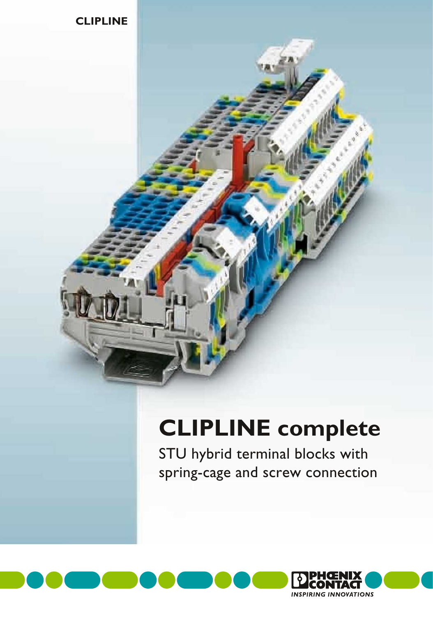

# **CLIPLINE complete**

STU hybrid terminal blocks with spring-cage and screw connection

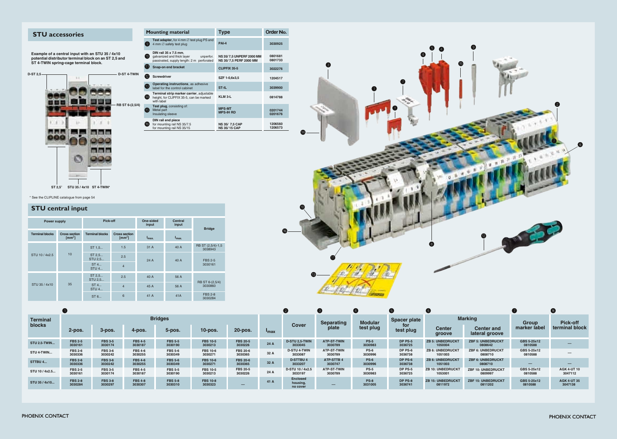# **STU** accessories

**Example of a central input with an STU 35 / 4x10 potential distributor terminal block on an ST 2,5 and ST 4-TWIN spring-cage terminal block.**

| D-ST 2,5-   | k                        | D-ST 4-TWIN    |
|-------------|--------------------------|----------------|
|             |                          | RB ST 6-(2,5/4 |
|             | COL.                     |                |
|             |                          |                |
|             |                          |                |
|             | <b>AND</b>               |                |
| ST 2,5 $^*$ | STU 35 / 4x10 ST 4-TWIN* |                |

|    |              | <b>Mounting material</b>                                                                                      | <b>Type</b>                                               | <b>Order No.</b>   |  |  |
|----|--------------|---------------------------------------------------------------------------------------------------------------|-----------------------------------------------------------|--------------------|--|--|
|    | [9]          | Test adapter, for 4 mm $\varnothing$ test plug PS and<br>4 mm $\varnothing$ safety test plug                  | $PAI-4$                                                   | 3030925            |  |  |
|    | $\bullet$    | DIN rail 35 x 7.5 mm,<br>galvanized and thick layer<br>unperfor.<br>passivated, supply length: 2 m perforated | <b>NS 35/7,5 UNPERF 2000 MM</b><br>NS 35/7,5 PERF 2000 MM | 0801681<br>0801733 |  |  |
|    | Œ            | Snap-on end bracket                                                                                           | <b>CLIPFIX 35-5</b>                                       | 3022276            |  |  |
|    | $12^{\circ}$ | Screwdriver                                                                                                   | SZF 1-0,6x3,5                                             | 1204517            |  |  |
|    | ❻            | <b>Operating instructions, as adhesive</b><br>label for the control cabinet                                   | ST-IL                                                     | 3039900            |  |  |
|    | 14           | Terminal strip marker carrier, adjustable<br>height, for CLIPFIX 35-5, can be marked<br>with label            | KLM 3-L                                                   | 0814788            |  |  |
| I) | 6            | Test plug, consisting of:<br>Metal part<br>Insulating sleeve                                                  | <b>MPS-MT</b><br><b>MPS-IH RD</b>                         | 0201744<br>0201676 |  |  |
|    | (16)         | DIN rail end piece<br>for mounting rail NS 35/7.5<br>for mounting rail NS 35/15                               | <b>NS 35/ 7,5 CAP</b><br><b>NS 35/15 CAP</b>              | 1206560<br>1206573 |  |  |



# **STU central input**

| <b>Power supply</b>    |                                          | Pick-off                                                           |                    | One-sided<br>input | <b>Central</b><br>input | <b>Bridge</b>                |  |
|------------------------|------------------------------------------|--------------------------------------------------------------------|--------------------|--------------------|-------------------------|------------------------------|--|
| <b>Terminal blocks</b> | <b>Cross section</b><br>$\text{[mm}^2$ ] | <b>Terminal blocks</b><br><b>Cross section</b><br>$\text{[mm}^2$ ] |                    | $I_{\text{max}}$   | $I_{\text{max}}$        |                              |  |
| STU 10 / 4x2.5         | 10                                       | ST 1.5                                                             | 1.5                | 31 A               | 40 A                    | RB ST (2,5/4)-1,5<br>3038943 |  |
|                        |                                          | ST 2.5<br>2.5<br>STU 2,5<br>24A                                    |                    |                    | 40 A                    | <b>FBS 2-5</b>               |  |
|                        |                                          | ST 4<br>$STU$ 4                                                    | $\overline{4}$     |                    |                         | 3030161                      |  |
| STU 35 / 4x10          | 35                                       |                                                                    | ST 2, 5<br>STU 2,5 | 2.5                | 40 A                    | 56 A                         |  |
|                        |                                          | ST 4<br><b>STU 4</b>                                               | $\overline{4}$     | 45 A               | 56 A                    | RB ST 6-(2,5/4)<br>3030860   |  |
|                        |                                          | ST6                                                                | 6                  | 41 A               | 41A                     | <b>FBS 2-8</b><br>3030284    |  |

| Terminal<br><b>blocks</b> | <b>Bridges</b>            |                           |                           |                           |                            |                            |                  | Separating                              | <b>Modular</b>                | <b>Spacer plate</b>    | <b>Marking</b>     |                                     | <b>Group</b>                         | <b>Pick-off</b>        |                               |
|---------------------------|---------------------------|---------------------------|---------------------------|---------------------------|----------------------------|----------------------------|------------------|-----------------------------------------|-------------------------------|------------------------|--------------------|-------------------------------------|--------------------------------------|------------------------|-------------------------------|
|                           | 2-pos.                    | $3-pos.$                  | $4$ -pos.                 | $5$ -pos.                 | $10$ -pos.                 | 20-pos.                    | $I_{\text{max}}$ | <b>Cover</b>                            | plate                         | test plug              | for<br>test plug   | <b>Center</b><br>groove             | <b>Center and</b><br>lateral groove  | marker label           | terminal block                |
| <b>STU 2.5-TWIN</b>       | <b>FBS 2-5</b><br>3030161 | <b>FBS 3-5</b><br>3030174 | <b>FBS 4-5</b><br>3030187 | <b>FBS 5-5</b><br>3030190 | <b>FBS 10-5</b><br>3030213 | <b>FBS 20-5</b><br>3030226 | 24A              | <b>D-STU 2.5-TWIN</b><br>3033045        | ATP-ST-TWIN<br>3030789        | <b>PS-5</b><br>3030983 | DP PS-5<br>3036725 | <b>ZB 5: UNBEDRUCKT</b><br>1050004  | <b>ZBF 5: UNBEDRUCKT</b><br>0808642  | GBS 5-25x12<br>0810588 |                               |
| STU 4-TWIN                | <b>FBS 2-6</b><br>3030336 | <b>FBS 3-6</b><br>3030242 | <b>FBS 4-6</b><br>3030255 | <b>FBS 5-6</b><br>3030349 | <b>FBS 10-6</b><br>3030271 | <b>FBS 20-6</b><br>3030365 | 32 A             | <b>D-STU 4-TWIN</b><br>3033087          | <b>ATP-ST-TWIN</b><br>3030789 | <b>PS-6</b><br>3030996 | DP PS-6<br>3036738 | <b>ZB 6: UNBEDRUCKT</b><br>1051003  | ZBF 6: UNBEDRUCKT<br>0808710         | GBS 5-25x12<br>0810588 |                               |
| STTBU 4                   | <b>FBS 2-6</b><br>3030336 | <b>FBS 3-6</b><br>3030242 | <b>FBS 4-6</b><br>3030255 | <b>FBS 5-6</b><br>3030349 | <b>FBS 10-6</b><br>3030271 | <b>FBS 20-6</b><br>3030365 | 32 A             | <b>D-STTBU4</b><br>3033207              | <b>ATP-STTB4</b><br>3030747   | <b>PS-6</b><br>3030996 | DP PS-6<br>3036738 | <b>ZB 6: UNBEDRUCKT</b><br>1051003  | <b>ZBF 6: UNBEDRUCKT</b><br>0808710  | —                      |                               |
| STU 10 / 4x2.5            | <b>FBS 2-5</b><br>3030161 | <b>FBS 3-5</b><br>3030174 | <b>FBS 4-5</b><br>3030187 | <b>FBS 5-5</b><br>3030190 | <b>FBS 10-5</b><br>3030213 | <b>FBS 20-5</b><br>3030226 | 24 A             | D-STU 10 / 4x2.5<br>3033197             | ATP-ST-TWIN<br>3030789        | <b>PS-5</b><br>3030983 | DP PS-5<br>3036725 | <b>ZB 10: UNBEDRUCKT</b><br>105300  | ZBF 10: UNBEDRUCKT<br>0809997        | GBS 5-25x12<br>0810588 | <b>AGK 4-UT 10</b><br>3047112 |
| STU 35 / 4x10             | <b>FBS 2-8</b><br>3030284 | <b>FBS 3-8</b><br>3030297 | <b>FBS 4-8</b><br>3030307 | <b>FBS 5-8</b><br>3030310 | <b>FBS 10-8</b><br>3030323 | $\overline{\phantom{0}}$   | 41 A             | <b>Enclosed</b><br>housing.<br>no cover | $-$                           | <b>PS-8</b><br>3031005 | DP PS-8<br>3036741 | <b>ZB 15: UNBEDRUCKT</b><br>0811972 | <b>ZBF 15: UNBEDRUCKT</b><br>0811202 | GBS 5-25x12<br>0810588 | <b>AGK 4-UT 35</b><br>3047138 |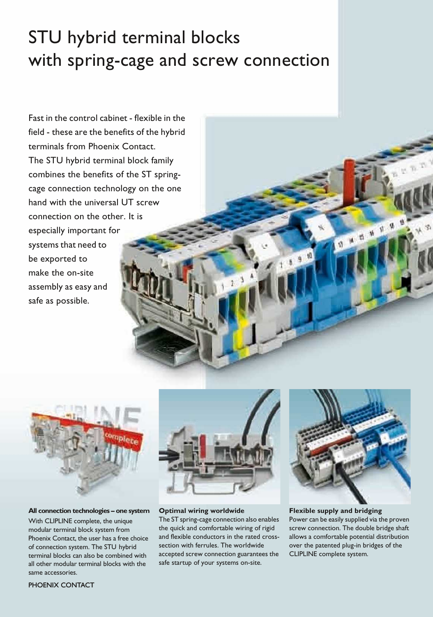# STU hybrid terminal blocks with spring-cage and screw connection

Fast in the control cabinet - flexible in the field - these are the benefits of the hybrid terminals from Phoenix Contact. The STU hybrid terminal block family combines the benefits of the ST springcage connection technology on the one hand with the universal UT screw connection on the other. It is especially important for systems that need to be exported to make the on-site assembly as easy and safe as possible.



**All connection technologies – one system** With CLIPLINE complete, the unique modular terminal block system from Phoenix Contact, the user has a free choice of connection system. The STU hybrid terminal blocks can also be combined with all other modular terminal blocks with the same accessories.



#### **Optimal wiring worldwide**

The ST spring-cage connection also enables the quick and comfortable wiring of rigid and flexible conductors in the rated crosssection with ferrules. The worldwide accepted screw connection guarantees the safe startup of your systems on-site.



1 15 16 17 18

**Flexible supply and bridging**

Power can be easily supplied via the proven screw connection. The double bridge shaft allows a comfortable potential distribution over the patented plug-in bridges of the CLIPLINE complete system.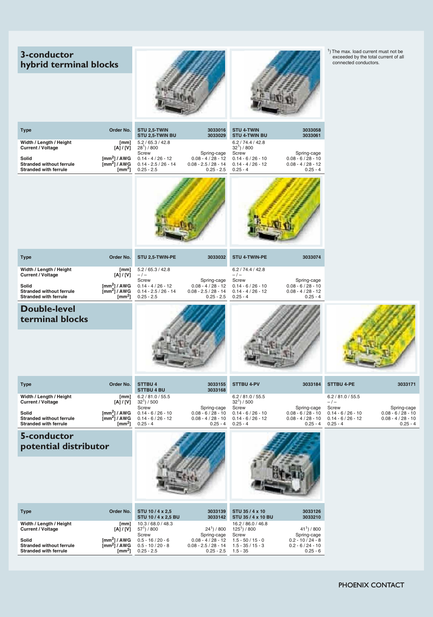# **3-conductor hybrid terminal blocks**





1) The max. load current must not be exceeded by the total current of all connected conductors.

| <b>Type</b>                                                              | Order No.                                                           | STU 2,5-TWIN<br>STU 2,5-TWIN BU                                | 3033016<br>3033029                                             | <b>STU 4-TWIN</b><br><b>STU 4-TWIN BU</b>                  | 3033058<br>3033061                                         |                                                            |                                                            |
|--------------------------------------------------------------------------|---------------------------------------------------------------------|----------------------------------------------------------------|----------------------------------------------------------------|------------------------------------------------------------|------------------------------------------------------------|------------------------------------------------------------|------------------------------------------------------------|
| Width / Length / Height<br><b>Current / Voltage</b>                      | [mm]<br>[A] / [V]                                                   | 5.2/65.3/42.8<br>$281$ / 800<br>Screw                          | Spring-cage                                                    | 6.2 / 74.4 / 42.8<br>$321$ / 800<br>Screw                  | Spring-cage                                                |                                                            |                                                            |
| Solid<br><b>Stranded without ferrule</b><br><b>Stranded with ferrule</b> | $\text{[mm}^2$ ] / AWG<br>$\text{[mm}^2$ ] / AWG<br>$[mm^2]$        | $0.14 - 4 / 26 - 12$<br>$0.14 - 2.5 / 26 - 14$<br>$0.25 - 2.5$ | $0.08 - 4 / 28 - 12$<br>$0.08 - 2.5 / 28 - 14$<br>$0.25 - 2.5$ | $0.14 - 6 / 26 - 10$<br>$0.14 - 4 / 26 - 12$<br>$0.25 - 4$ | $0.08 - 6 / 28 - 10$<br>$0.08 - 4 / 28 - 12$<br>$0.25 - 4$ |                                                            |                                                            |
|                                                                          |                                                                     |                                                                |                                                                |                                                            |                                                            |                                                            |                                                            |
| Type                                                                     | Order No.                                                           | STU 2,5-TWIN-PE                                                | 3033032                                                        | <b>STU 4-TWIN-PE</b>                                       | 3033074                                                    |                                                            |                                                            |
| Width / Length / Height<br><b>Current / Voltage</b>                      | [mm]<br>[A] / [V]                                                   | 5.2 / 65.3 / 42.8<br>$-/-$<br>Screw                            | Spring-cage                                                    | 6.2 / 74.4 / 42.8<br>$-/-$<br>Screw                        | Spring-cage                                                |                                                            |                                                            |
| Solid<br><b>Stranded without ferrule</b><br><b>Stranded with ferrule</b> | $\text{[mm}^2\text{]}$ / AWG<br>$\text{[mm}^2$ ] / AWG<br>[ $mm2$ ] | $0.14 - 4 / 26 - 12$<br>$0.14 - 2.5 / 26 - 14$<br>$0.25 - 2.5$ | $0.08 - 4 / 28 - 12$<br>$0.08 - 2.5 / 28 - 14$<br>$0.25 - 2.5$ | $0.14 - 6 / 26 - 10$<br>$0.14 - 4 / 26 - 12$<br>$0.25 - 4$ | $0.08 - 6 / 28 - 10$<br>$0.08 - 4 / 28 - 12$<br>$0.25 - 4$ |                                                            |                                                            |
| <b>Double-level</b><br>terminal blocks                                   |                                                                     |                                                                |                                                                |                                                            |                                                            |                                                            |                                                            |
| <b>Type</b>                                                              | Order No.                                                           | <b>STTBU4</b><br><b>STTBU 4 BU</b>                             | 3033155<br>3033168                                             | <b>STTBU 4-PV</b>                                          | 3033184                                                    | <b>STTBU 4-PE</b>                                          | 3033171                                                    |
| Width / Length / Height<br><b>Current / Voltage</b>                      | [mm]<br>[A] / [V]                                                   | 6.2 / 81.0 / 55.5<br>$321$ / 500<br>Screw                      | Spring-cage                                                    | 6.2 / 81.0 / 55.5<br>$321$ ) / 500<br>Screw                | Spring-cage                                                | 6.2 / 81.0 / 55.5<br>$-/-$<br>Screw                        | Spring-cage                                                |
| Solid<br><b>Stranded without ferrule</b><br><b>Stranded with ferrule</b> | $\text{[mm}^2$ ] / AWG<br>$\text{[mm}^2$ ] / AWG<br>$[mm^2]$        | $0.14 - 6 / 26 - 10$<br>$0.14 - 6 / 26 - 12$<br>$0.25 - 4$     | $0.08 - 6 / 28 - 10$<br>$0.08 - 4 / 28 - 10$<br>$0.25 - 4$     | $0.14 - 6 / 26 - 10$<br>$0.14 - 6 / 26 - 12$<br>$0.25 - 4$ | $0.08 - 6 / 28 - 10$<br>$0.08 - 4 / 28 - 10$<br>$0.25 - 4$ | $0.14 - 6 / 26 - 10$<br>$0.14 - 6 / 26 - 12$<br>$0.25 - 4$ | $0.08 - 6 / 28 - 10$<br>$0.08 - 4 / 28 - 10$<br>$0.25 - 4$ |
| 5-conductor<br>potential distributor                                     |                                                                     |                                                                |                                                                |                                                            |                                                            |                                                            |                                                            |
| <b>Type</b>                                                              | Order No.                                                           | STU 10/4 x 2,5<br>STU 10/4 x 2,5 BU                            | 3033139<br>3033142                                             | STU 35 / 4 x 10<br>STU 35 / 4 x 10 BU                      | 3033126<br>3033210                                         |                                                            |                                                            |
| Width / Length / Height<br><b>Current / Voltage</b>                      | [mm]<br>[A] / [V]                                                   | 10.3 / 68.0 / 48.3<br>$571$ ) / 800<br>Screw                   | $241$ ) / 800<br>Spring-cage                                   | 16.2 / 86.0 / 46.8<br>$125^1$ ) / 800<br>Screw             | $411$ / 800<br>Spring-cage                                 |                                                            |                                                            |
| Solid<br><b>Stranded without ferrule</b><br><b>Stranded with ferrule</b> | $\text{[mm}^2$ ] / AWG<br>$\text{[mm}^2$ ] / AWG<br>$[mm^2]$        | $0.5 - 16 / 20 - 6$<br>$0.5 - 10 / 20 - 8$<br>$0.25 - 2.5$     | $0.08 - 4 / 28 - 12$<br>$0.08 - 2.5 / 28 - 14$<br>$0.25 - 2.5$ | $1.5 - 50 / 15 - 0$<br>$1.5 - 35 / 15 - 3$<br>$1.5 - 35$   | $0.2 - 10 / 24 - 8$<br>$0.2 - 6 / 24 - 10$<br>$0.25 - 6$   |                                                            |                                                            |